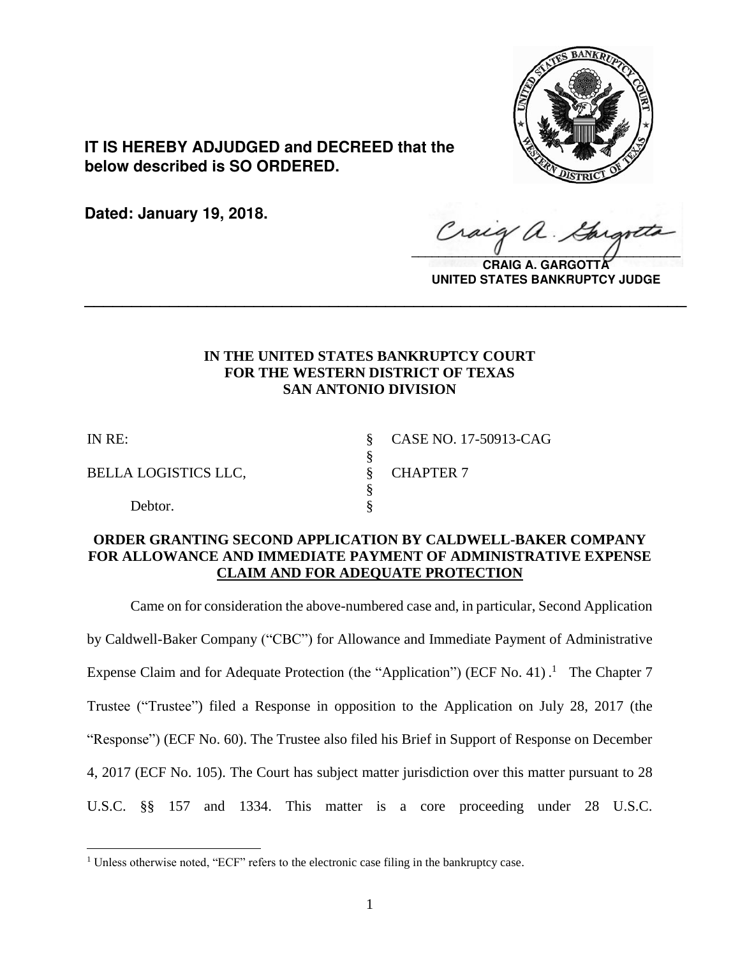

**IT IS HEREBY ADJUDGED and DECREED that the below described is SO ORDERED.**

**Dated: January 19, 2018.**

Craig a.  $\sqrt{2}$ 

**CRAIG A. GARGOTTA UNITED STATES BANKRUPTCY JUDGE**

# **IN THE UNITED STATES BANKRUPTCY COURT FOR THE WESTERN DISTRICT OF TEXAS SAN ANTONIO DIVISION**

**\_\_\_\_\_\_\_\_\_\_\_\_\_\_\_\_\_\_\_\_\_\_\_\_\_\_\_\_\_\_\_\_\_\_\_\_\_\_\_\_\_\_\_\_\_\_\_\_\_\_\_\_\_\_\_\_\_\_\_\_\_\_\_\_**

 $\overline{a}$ 

BELLA LOGISTICS LLC,  $\qquad \qquad$  & CHAPTER 7

Debtor.

IN RE: § CASE NO. 17-50913-CAG

## **ORDER GRANTING SECOND APPLICATION BY CALDWELL-BAKER COMPANY FOR ALLOWANCE AND IMMEDIATE PAYMENT OF ADMINISTRATIVE EXPENSE CLAIM AND FOR ADEQUATE PROTECTION**

§<br>§

§

Came on for consideration the above-numbered case and, in particular, Second Application by Caldwell-Baker Company ("CBC") for Allowance and Immediate Payment of Administrative Expense Claim and for Adequate Protection (the "Application") (ECF No. 41).<sup>1</sup> The Chapter 7 Trustee ("Trustee") filed a Response in opposition to the Application on July 28, 2017 (the "Response") (ECF No. 60). The Trustee also filed his Brief in Support of Response on December 4, 2017 (ECF No. 105). The Court has subject matter jurisdiction over this matter pursuant to 28 U.S.C. §§ 157 and 1334. This matter is a core proceeding under 28 U.S.C.

<sup>&</sup>lt;sup>1</sup> Unless otherwise noted, "ECF" refers to the electronic case filing in the bankruptcy case.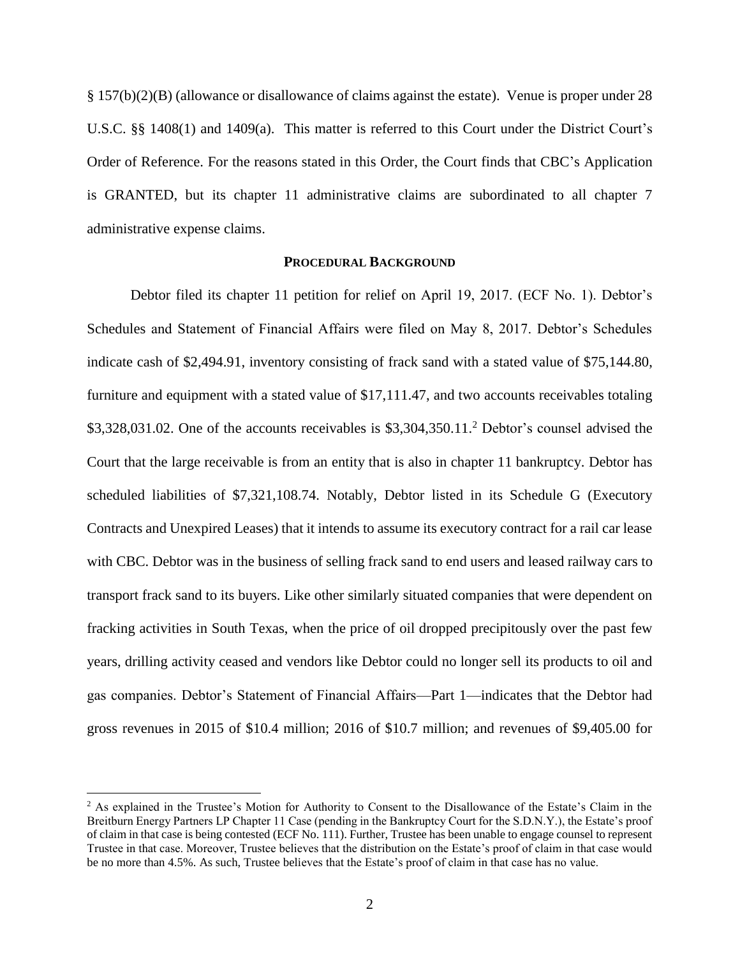§ 157(b)(2)(B) (allowance or disallowance of claims against the estate). Venue is proper under 28 U.S.C. §§ 1408(1) and 1409(a). This matter is referred to this Court under the District Court's Order of Reference. For the reasons stated in this Order, the Court finds that CBC's Application is GRANTED, but its chapter 11 administrative claims are subordinated to all chapter 7 administrative expense claims.

### **PROCEDURAL BACKGROUND**

Debtor filed its chapter 11 petition for relief on April 19, 2017. (ECF No. 1). Debtor's Schedules and Statement of Financial Affairs were filed on May 8, 2017. Debtor's Schedules indicate cash of \$2,494.91, inventory consisting of frack sand with a stated value of \$75,144.80, furniture and equipment with a stated value of \$17,111.47, and two accounts receivables totaling  $$3,328,031.02$ . One of the accounts receivables is  $$3,304,350.11$ <sup>2</sup> Debtor's counsel advised the Court that the large receivable is from an entity that is also in chapter 11 bankruptcy. Debtor has scheduled liabilities of \$7,321,108.74. Notably, Debtor listed in its Schedule G (Executory Contracts and Unexpired Leases) that it intends to assume its executory contract for a rail car lease with CBC. Debtor was in the business of selling frack sand to end users and leased railway cars to transport frack sand to its buyers. Like other similarly situated companies that were dependent on fracking activities in South Texas, when the price of oil dropped precipitously over the past few years, drilling activity ceased and vendors like Debtor could no longer sell its products to oil and gas companies. Debtor's Statement of Financial Affairs—Part 1—indicates that the Debtor had gross revenues in 2015 of \$10.4 million; 2016 of \$10.7 million; and revenues of \$9,405.00 for

<sup>&</sup>lt;sup>2</sup> As explained in the Trustee's Motion for Authority to Consent to the Disallowance of the Estate's Claim in the Breitburn Energy Partners LP Chapter 11 Case (pending in the Bankruptcy Court for the S.D.N.Y.), the Estate's proof of claim in that case is being contested (ECF No. 111). Further, Trustee has been unable to engage counsel to represent Trustee in that case. Moreover, Trustee believes that the distribution on the Estate's proof of claim in that case would be no more than 4.5%. As such, Trustee believes that the Estate's proof of claim in that case has no value.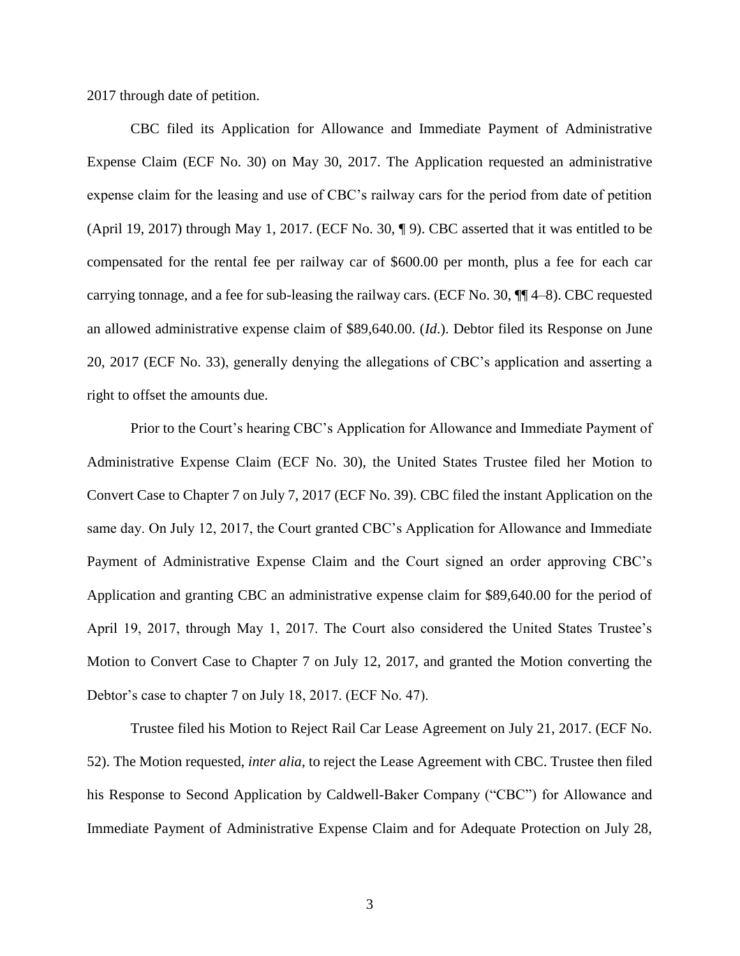2017 through date of petition.

CBC filed its Application for Allowance and Immediate Payment of Administrative Expense Claim (ECF No. 30) on May 30, 2017. The Application requested an administrative expense claim for the leasing and use of CBC's railway cars for the period from date of petition (April 19, 2017) through May 1, 2017. (ECF No. 30, ¶ 9). CBC asserted that it was entitled to be compensated for the rental fee per railway car of \$600.00 per month, plus a fee for each car carrying tonnage, and a fee for sub-leasing the railway cars. (ECF No. 30, ¶¶ 4–8). CBC requested an allowed administrative expense claim of \$89,640.00. (*Id*.). Debtor filed its Response on June 20, 2017 (ECF No. 33), generally denying the allegations of CBC's application and asserting a right to offset the amounts due.

Prior to the Court's hearing CBC's Application for Allowance and Immediate Payment of Administrative Expense Claim (ECF No. 30), the United States Trustee filed her Motion to Convert Case to Chapter 7 on July 7, 2017 (ECF No. 39). CBC filed the instant Application on the same day. On July 12, 2017, the Court granted CBC's Application for Allowance and Immediate Payment of Administrative Expense Claim and the Court signed an order approving CBC's Application and granting CBC an administrative expense claim for \$89,640.00 for the period of April 19, 2017, through May 1, 2017. The Court also considered the United States Trustee's Motion to Convert Case to Chapter 7 on July 12, 2017, and granted the Motion converting the Debtor's case to chapter 7 on July 18, 2017. (ECF No. 47).

Trustee filed his Motion to Reject Rail Car Lease Agreement on July 21, 2017. (ECF No. 52). The Motion requested, *inter alia*, to reject the Lease Agreement with CBC. Trustee then filed his Response to Second Application by Caldwell-Baker Company ("CBC") for Allowance and Immediate Payment of Administrative Expense Claim and for Adequate Protection on July 28,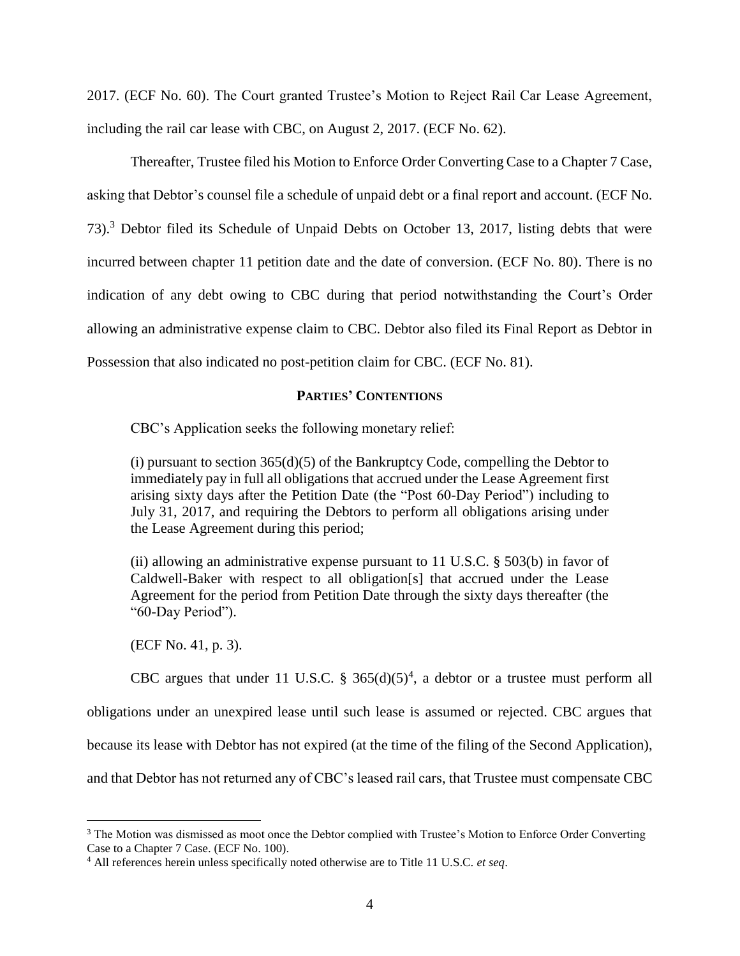2017. (ECF No. 60). The Court granted Trustee's Motion to Reject Rail Car Lease Agreement, including the rail car lease with CBC, on August 2, 2017. (ECF No. 62).

Thereafter, Trustee filed his Motion to Enforce Order Converting Case to a Chapter 7 Case, asking that Debtor's counsel file a schedule of unpaid debt or a final report and account. (ECF No. 73).<sup>3</sup> Debtor filed its Schedule of Unpaid Debts on October 13, 2017, listing debts that were incurred between chapter 11 petition date and the date of conversion. (ECF No. 80). There is no indication of any debt owing to CBC during that period notwithstanding the Court's Order allowing an administrative expense claim to CBC. Debtor also filed its Final Report as Debtor in Possession that also indicated no post-petition claim for CBC. (ECF No. 81).

### **PARTIES' CONTENTIONS**

CBC's Application seeks the following monetary relief:

(i) pursuant to section  $365(d)(5)$  of the Bankruptcy Code, compelling the Debtor to immediately pay in full all obligations that accrued under the Lease Agreement first arising sixty days after the Petition Date (the "Post 60-Day Period") including to July 31, 2017, and requiring the Debtors to perform all obligations arising under the Lease Agreement during this period;

(ii) allowing an administrative expense pursuant to 11 U.S.C.  $\S$  503(b) in favor of Caldwell-Baker with respect to all obligation[s] that accrued under the Lease Agreement for the period from Petition Date through the sixty days thereafter (the "60-Day Period").

(ECF No. 41, p. 3).

 $\overline{a}$ 

CBC argues that under 11 U.S.C. § 365 $(d)(5)^4$ , a debtor or a trustee must perform all obligations under an unexpired lease until such lease is assumed or rejected. CBC argues that because its lease with Debtor has not expired (at the time of the filing of the Second Application), and that Debtor has not returned any of CBC's leased rail cars, that Trustee must compensate CBC

<sup>&</sup>lt;sup>3</sup> The Motion was dismissed as moot once the Debtor complied with Trustee's Motion to Enforce Order Converting Case to a Chapter 7 Case. (ECF No. 100).

<sup>4</sup> All references herein unless specifically noted otherwise are to Title 11 U.S.C. *et seq*.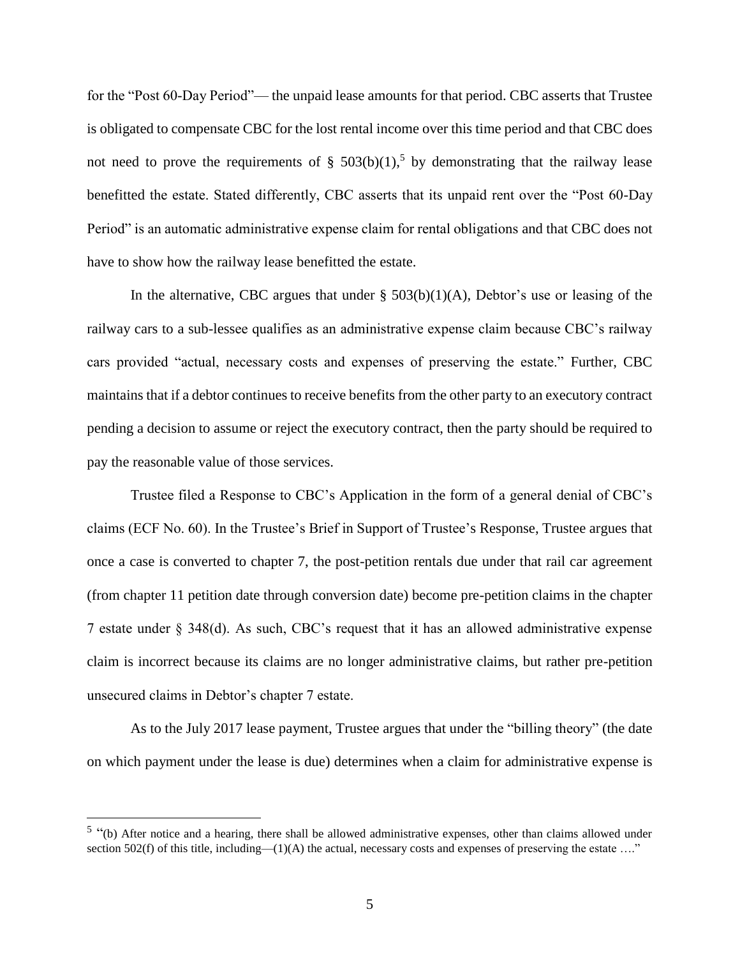for the "Post 60-Day Period"— the unpaid lease amounts for that period. CBC asserts that Trustee is obligated to compensate CBC for the lost rental income over this time period and that CBC does not need to prove the requirements of §  $503(b)(1)$ ,<sup>5</sup> by demonstrating that the railway lease benefitted the estate. Stated differently, CBC asserts that its unpaid rent over the "Post 60-Day Period" is an automatic administrative expense claim for rental obligations and that CBC does not have to show how the railway lease benefitted the estate.

In the alternative, CBC argues that under  $\S$  503(b)(1)(A), Debtor's use or leasing of the railway cars to a sub-lessee qualifies as an administrative expense claim because CBC's railway cars provided "actual, necessary costs and expenses of preserving the estate." Further, CBC maintains that if a debtor continues to receive benefits from the other party to an executory contract pending a decision to assume or reject the executory contract, then the party should be required to pay the reasonable value of those services.

Trustee filed a Response to CBC's Application in the form of a general denial of CBC's claims (ECF No. 60). In the Trustee's Brief in Support of Trustee's Response, Trustee argues that once a case is converted to chapter 7, the post-petition rentals due under that rail car agreement (from chapter 11 petition date through conversion date) become pre-petition claims in the chapter 7 estate under § 348(d). As such, CBC's request that it has an allowed administrative expense claim is incorrect because its claims are no longer administrative claims, but rather pre-petition unsecured claims in Debtor's chapter 7 estate.

As to the July 2017 lease payment, Trustee argues that under the "billing theory" (the date on which payment under the lease is due) determines when a claim for administrative expense is

<sup>&</sup>lt;sup>5</sup> "(b) After notice and a hearing, there shall be allowed administrative expenses, other than claims allowed under [section 502\(f\)](https://1.next.westlaw.com/Link/Document/FullText?findType=L&pubNum=1000546&cite=11USCAS502&originatingDoc=NF5EAF7C0159811DA9632D0B5DE589B16&refType=RB&originationContext=document&transitionType=DocumentItem&contextData=(sc.UserEnteredCitation)#co_pp_ae0d0000c5150) of this title, including—(1)(A) the actual, necessary costs and expenses of preserving the estate ...."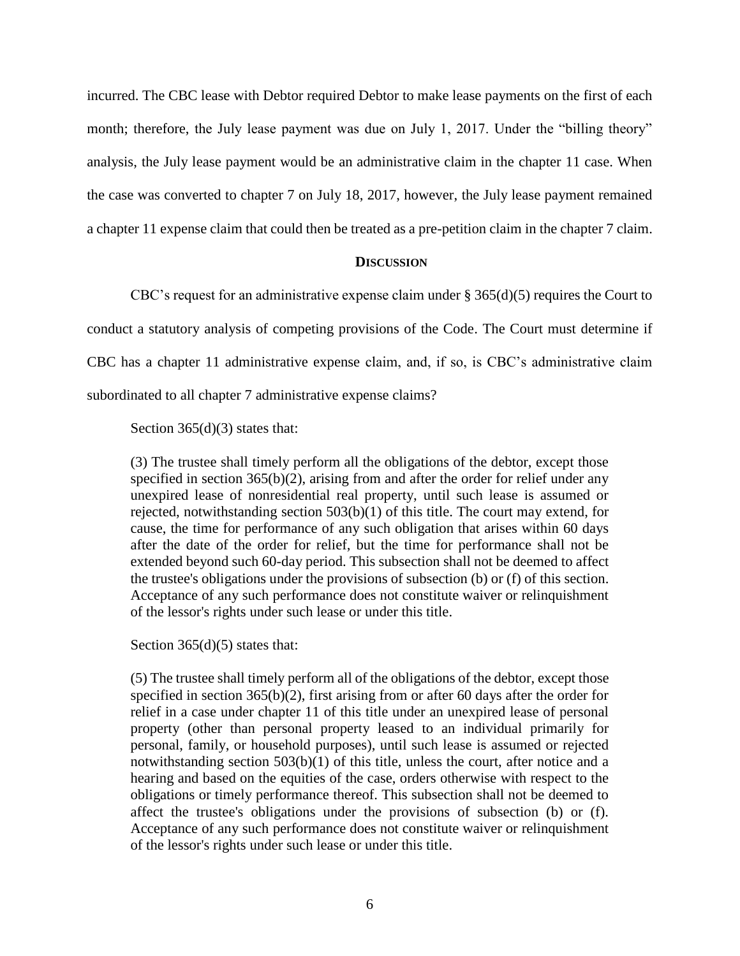incurred. The CBC lease with Debtor required Debtor to make lease payments on the first of each month; therefore, the July lease payment was due on July 1, 2017. Under the "billing theory" analysis, the July lease payment would be an administrative claim in the chapter 11 case. When the case was converted to chapter 7 on July 18, 2017, however, the July lease payment remained a chapter 11 expense claim that could then be treated as a pre-petition claim in the chapter 7 claim.

#### **DISCUSSION**

CBC's request for an administrative expense claim under  $\S 365(d)(5)$  requires the Court to conduct a statutory analysis of competing provisions of the Code. The Court must determine if CBC has a chapter 11 administrative expense claim, and, if so, is CBC's administrative claim subordinated to all chapter 7 administrative expense claims?

Section  $365(d)(3)$  states that:

(3) The trustee shall timely perform all the obligations of the debtor, except those specified in section  $365(b)(2)$ , arising from and after the order for relief under any unexpired lease of nonresidential real property, until such lease is assumed or rejected, notwithstanding section 503(b)(1) of this title. The court may extend, for cause, the time for performance of any such obligation that arises within 60 days after the date of the order for relief, but the time for performance shall not be extended beyond such 60-day period. This subsection shall not be deemed to affect the trustee's obligations under the provisions of subsection (b) or (f) of this section. Acceptance of any such performance does not constitute waiver or relinquishment of the lessor's rights under such lease or under this title.

Section 365(d)(5) states that:

(5) The trustee shall timely perform all of the obligations of the debtor, except those specified in section 365(b)(2), first arising from or after 60 days after the order for relief in a case under chapter 11 of this title under an unexpired lease of personal property (other than personal property leased to an individual primarily for personal, family, or household purposes), until such lease is assumed or rejected notwithstanding [section 503\(b\)\(1\)](https://1.next.westlaw.com/Link/Document/FullText?findType=L&pubNum=1000546&cite=11USCAS503&originatingDoc=N0E0B7500158011DAB3FA8DCCF0CD4D80&refType=RB&originationContext=document&transitionType=DocumentItem&contextData=(sc.UserEnteredCitation)#co_pp_3fed000053a85) of this title, unless the court, after notice and a hearing and based on the equities of the case, orders otherwise with respect to the obligations or timely performance thereof. This subsection shall not be deemed to affect the trustee's obligations under the provisions of subsection (b) or (f). Acceptance of any such performance does not constitute waiver or relinquishment of the lessor's rights under such lease or under this title.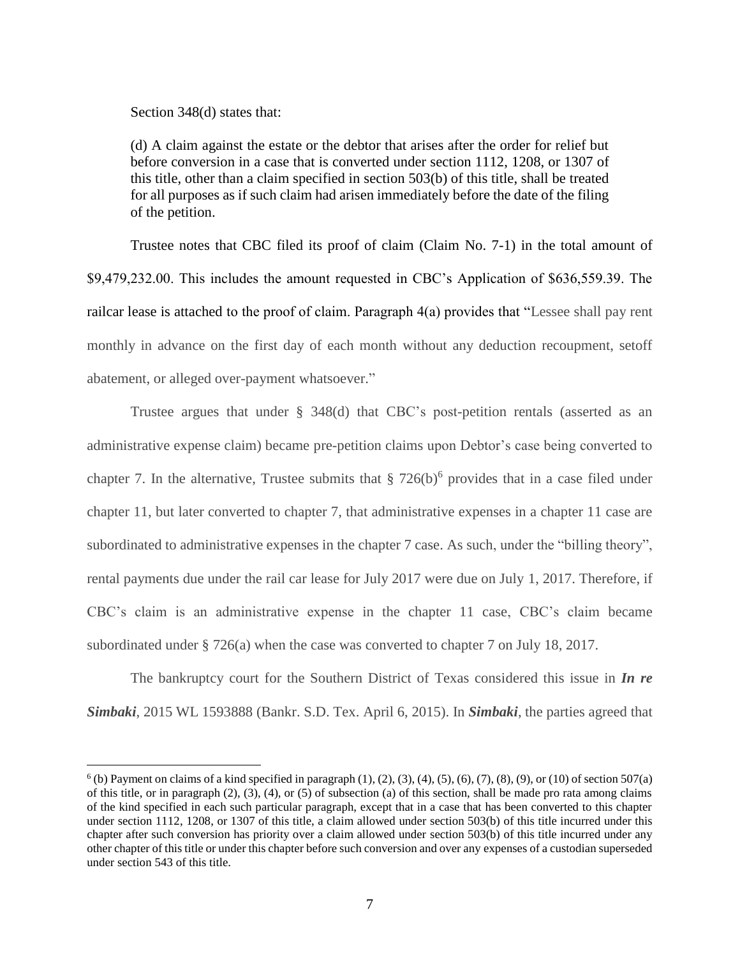Section 348(d) states that:

 $\overline{a}$ 

(d) A claim against the estate or the debtor that arises after the order for relief but before conversion in a case that is converted under [section 1112,](https://1.next.westlaw.com/Link/Document/FullText?findType=L&pubNum=1000546&cite=11USCAS1112&originatingDoc=N5C933F00299311E09714F4475B4D179A&refType=LQ&originationContext=document&transitionType=DocumentItem&contextData=(sc.UserEnteredCitation)) [1208,](https://1.next.westlaw.com/Link/Document/FullText?findType=L&pubNum=1000546&cite=11USCAS1208&originatingDoc=N5C933F00299311E09714F4475B4D179A&refType=LQ&originationContext=document&transitionType=DocumentItem&contextData=(sc.UserEnteredCitation)) or [1307](https://1.next.westlaw.com/Link/Document/FullText?findType=L&pubNum=1000546&cite=11USCAS1307&originatingDoc=N5C933F00299311E09714F4475B4D179A&refType=LQ&originationContext=document&transitionType=DocumentItem&contextData=(sc.UserEnteredCitation)) of this title, other than a claim specified in [section 503\(b\)](https://1.next.westlaw.com/Link/Document/FullText?findType=L&pubNum=1000546&cite=11USCAS503&originatingDoc=N5C933F00299311E09714F4475B4D179A&refType=RB&originationContext=document&transitionType=DocumentItem&contextData=(sc.UserEnteredCitation)#co_pp_a83b000018c76) of this title, shall be treated for all purposes as if such claim had arisen immediately before the date of the filing of the petition.

Trustee notes that CBC filed its proof of claim (Claim No. 7-1) in the total amount of \$9,479,232.00. This includes the amount requested in CBC's Application of \$636,559.39. The railcar lease is attached to the proof of claim. Paragraph 4(a) provides that "Lessee shall pay rent monthly in advance on the first day of each month without any deduction recoupment, setoff abatement, or alleged over-payment whatsoever."

Trustee argues that under § 348(d) that CBC's post-petition rentals (asserted as an administrative expense claim) became pre-petition claims upon Debtor's case being converted to chapter 7. In the alternative, Trustee submits that  $\S 726(b)^6$  provides that in a case filed under chapter 11, but later converted to chapter 7, that administrative expenses in a chapter 11 case are subordinated to administrative expenses in the chapter 7 case. As such, under the "billing theory", rental payments due under the rail car lease for July 2017 were due on July 1, 2017. Therefore, if CBC's claim is an administrative expense in the chapter 11 case, CBC's claim became subordinated under § 726(a) when the case was converted to chapter 7 on July 18, 2017.

The bankruptcy court for the Southern District of Texas considered this issue in *In re Simbaki*, 2015 WL 1593888 (Bankr. S.D. Tex. April 6, 2015). In *Simbaki*, the parties agreed that

 $6$  (b) Payment on claims of a kind specified in paragraph  $(1)$ ,  $(2)$ ,  $(3)$ ,  $(4)$ ,  $(5)$ ,  $(6)$ ,  $(7)$ ,  $(8)$ ,  $(9)$ , or  $(10)$  of section 507(a) of this title, or in paragraph  $(2)$ ,  $(3)$ ,  $(4)$ , or  $(5)$  of subsection  $(a)$  of this section, shall be made pro rata among claims of the kind specified in each such particular paragraph, except that in a case that has been converted to this chapter under [section 1112,](https://1.next.westlaw.com/Link/Document/FullText?findType=L&pubNum=1000546&cite=11USCAS1112&originatingDoc=N7B1CF4102A2011E09714F4475B4D179A&refType=LQ&originationContext=document&transitionType=DocumentItem&contextData=(sc.UserEnteredCitation)) [1208,](https://1.next.westlaw.com/Link/Document/FullText?findType=L&pubNum=1000546&cite=11USCAS1208&originatingDoc=N7B1CF4102A2011E09714F4475B4D179A&refType=LQ&originationContext=document&transitionType=DocumentItem&contextData=(sc.UserEnteredCitation)) or [1307](https://1.next.westlaw.com/Link/Document/FullText?findType=L&pubNum=1000546&cite=11USCAS1307&originatingDoc=N7B1CF4102A2011E09714F4475B4D179A&refType=LQ&originationContext=document&transitionType=DocumentItem&contextData=(sc.UserEnteredCitation)) of this title, a claim allowed under [section 503\(b\)](https://1.next.westlaw.com/Link/Document/FullText?findType=L&pubNum=1000546&cite=11USCAS503&originatingDoc=N7B1CF4102A2011E09714F4475B4D179A&refType=RB&originationContext=document&transitionType=DocumentItem&contextData=(sc.UserEnteredCitation)#co_pp_a83b000018c76) of this title incurred under this chapter after such conversion has priority over a claim allowed under [section 503\(b\)](https://1.next.westlaw.com/Link/Document/FullText?findType=L&pubNum=1000546&cite=11USCAS503&originatingDoc=N7B1CF4102A2011E09714F4475B4D179A&refType=RB&originationContext=document&transitionType=DocumentItem&contextData=(sc.UserEnteredCitation)#co_pp_a83b000018c76) of this title incurred under any other chapter of this title or under this chapter before such conversion and over any expenses of a custodian superseded under [section 543](https://1.next.westlaw.com/Link/Document/FullText?findType=L&pubNum=1000546&cite=11USCAS543&originatingDoc=N7B1CF4102A2011E09714F4475B4D179A&refType=LQ&originationContext=document&transitionType=DocumentItem&contextData=(sc.UserEnteredCitation)) of this title.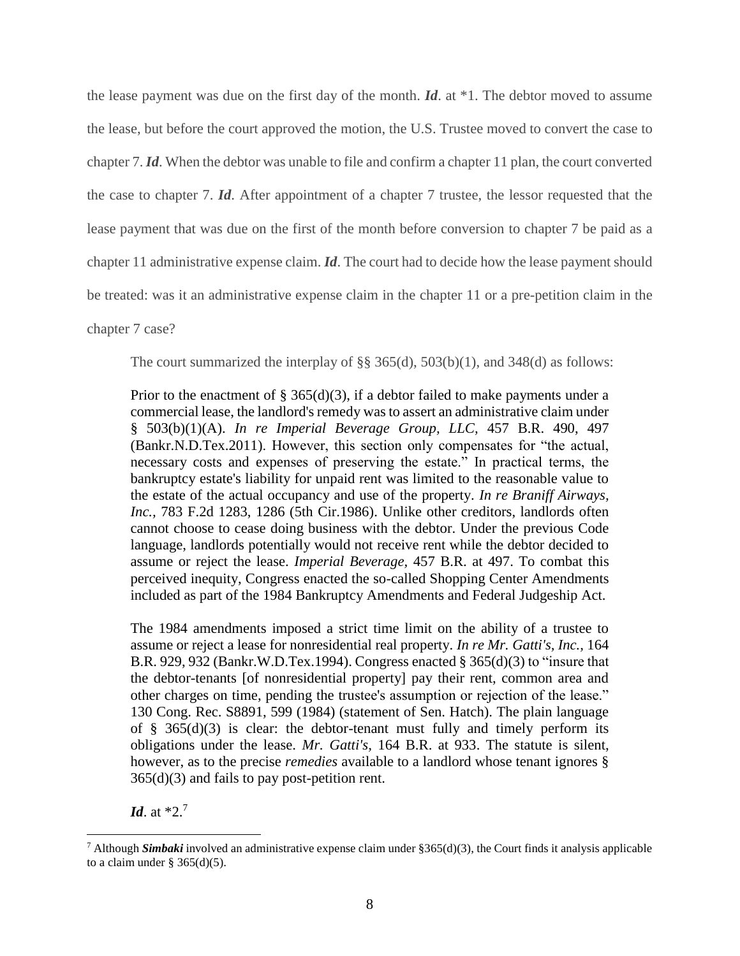the lease payment was due on the first day of the month. *Id*. at \*1. The debtor moved to assume the lease, but before the court approved the motion, the U.S. Trustee moved to convert the case to chapter 7. *Id*. When the debtor was unable to file and confirm a chapter 11 plan, the court converted the case to chapter 7. *Id*. After appointment of a chapter 7 trustee, the lessor requested that the lease payment that was due on the first of the month before conversion to chapter 7 be paid as a chapter 11 administrative expense claim. *Id*. The court had to decide how the lease payment should be treated: was it an administrative expense claim in the chapter 11 or a pre-petition claim in the chapter 7 case?

The court summarized the interplay of §§ 365(d), 503(b)(1), and 348(d) as follows:

Prior to the enactment of  $\S$  365(d)(3), if a debtor failed to make payments under a commercial lease, the landlord's remedy was to assert an administrative claim under § 503(b)(1)(A). *[In re Imperial Beverage Group, LLC,](https://1.next.westlaw.com/Link/Document/FullText?findType=Y&serNum=2025802542&pubNum=0000164&originatingDoc=I6630bd70ddef11e4b979e0fcfaca07e5&refType=RP&fi=co_pp_sp_164_497&originationContext=document&transitionType=DocumentItem&contextData=(sc.Default)#co_pp_sp_164_497)* 457 B.R. 490, 497 [\(Bankr.N.D.Tex.2011\).](https://1.next.westlaw.com/Link/Document/FullText?findType=Y&serNum=2025802542&pubNum=0000164&originatingDoc=I6630bd70ddef11e4b979e0fcfaca07e5&refType=RP&fi=co_pp_sp_164_497&originationContext=document&transitionType=DocumentItem&contextData=(sc.Default)#co_pp_sp_164_497) However, this section only compensates for "the actual, necessary costs and expenses of preserving the estate." In practical terms, the bankruptcy estate's liability for unpaid rent was limited to the reasonable value to the estate of the actual occupancy and use of the property. *[In re Braniff Airways,](https://1.next.westlaw.com/Link/Document/FullText?findType=Y&serNum=1986111503&pubNum=0000350&originatingDoc=I6630bd70ddef11e4b979e0fcfaca07e5&refType=RP&fi=co_pp_sp_350_1286&originationContext=document&transitionType=DocumentItem&contextData=(sc.Default)#co_pp_sp_350_1286)  Inc.,* [783 F.2d 1283, 1286 \(5th Cir.1986\).](https://1.next.westlaw.com/Link/Document/FullText?findType=Y&serNum=1986111503&pubNum=0000350&originatingDoc=I6630bd70ddef11e4b979e0fcfaca07e5&refType=RP&fi=co_pp_sp_350_1286&originationContext=document&transitionType=DocumentItem&contextData=(sc.Default)#co_pp_sp_350_1286) Unlike other creditors, landlords often cannot choose to cease doing business with the debtor. Under the previous Code language, landlords potentially would not receive rent while the debtor decided to assume or reject the lease. *[Imperial Beverage,](https://1.next.westlaw.com/Link/Document/FullText?findType=Y&serNum=2025802542&pubNum=0000164&originatingDoc=I6630bd70ddef11e4b979e0fcfaca07e5&refType=RP&fi=co_pp_sp_164_497&originationContext=document&transitionType=DocumentItem&contextData=(sc.Default)#co_pp_sp_164_497)* 457 B.R. at 497. To combat this perceived inequity, Congress enacted the so-called Shopping Center Amendments included as part of the 1984 Bankruptcy Amendments and Federal Judgeship Act.

The 1984 amendments imposed a strict time limit on the ability of a trustee to assume or reject a lease for nonresidential real property. *[In re Mr. Gatti's, Inc.,](https://1.next.westlaw.com/Link/Document/FullText?findType=Y&serNum=1994064350&pubNum=0000164&originatingDoc=I6630bd70ddef11e4b979e0fcfaca07e5&refType=RP&fi=co_pp_sp_164_932&originationContext=document&transitionType=DocumentItem&contextData=(sc.Default)#co_pp_sp_164_932)* 164 [B.R. 929, 932 \(Bankr.W.D.Tex.1994\).](https://1.next.westlaw.com/Link/Document/FullText?findType=Y&serNum=1994064350&pubNum=0000164&originatingDoc=I6630bd70ddef11e4b979e0fcfaca07e5&refType=RP&fi=co_pp_sp_164_932&originationContext=document&transitionType=DocumentItem&contextData=(sc.Default)#co_pp_sp_164_932) Congress enacted  $\S 365(d)(3)$  to "insure that the debtor-tenants [of nonresidential property] pay their rent, common area and other charges on time, pending the trustee's assumption or rejection of the lease." 130 Cong. Rec. S8891, 599 (1984) (statement of Sen. Hatch). The plain language of  $§$  365(d)(3) is clear: the debtor-tenant must fully and timely perform its obligations under the lease. *Mr. Gatti's,* [164 B.R. at 933.](https://1.next.westlaw.com/Link/Document/FullText?findType=Y&serNum=1994064350&pubNum=0000164&originatingDoc=I6630bd70ddef11e4b979e0fcfaca07e5&refType=RP&fi=co_pp_sp_164_933&originationContext=document&transitionType=DocumentItem&contextData=(sc.Default)#co_pp_sp_164_933) The statute is silent, however, as to the precise *remedies* available to a landlord whose tenant ignores [§](https://1.next.westlaw.com/Link/Document/FullText?findType=L&pubNum=1000611&cite=11USCAS365&originatingDoc=I6630bd70ddef11e4b979e0fcfaca07e5&refType=LQ&originationContext=document&transitionType=DocumentItem&contextData=(sc.Default))   $365(d)(3)$  and fails to pay post-petition rent.

*Id*. at \*2.<sup>7</sup>

<sup>7</sup> Although *Simbaki* involved an administrative expense claim under §365(d)(3), the Court finds it analysis applicable to a claim under  $\S 365(d)(5)$ .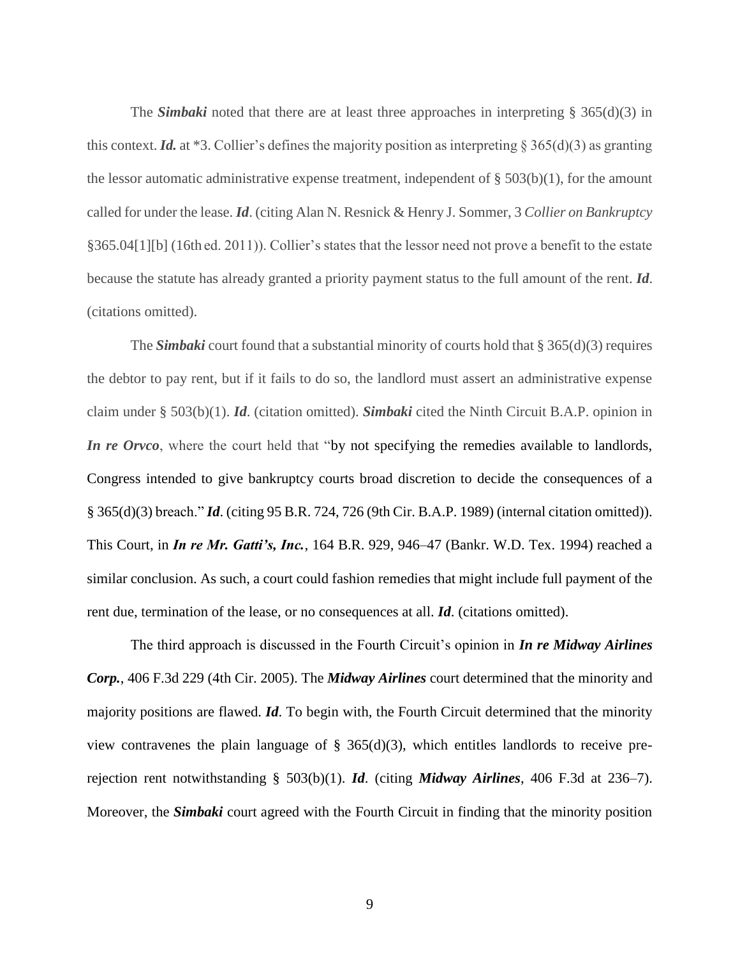The *Simbaki* noted that there are at least three approaches in interpreting § 365(d)(3) in this context. *Id.* at \*3. Collier's defines the majority position as interpreting § 365(d)(3) as granting the lessor automatic administrative expense treatment, independent of  $\S 503(b)(1)$ , for the amount called for under the lease. *Id*. (citing Alan N. Resnick & Henry J. Sommer, 3 *Collier on Bankruptcy* §365.04[1][b] (16th ed. 2011)). Collier's states that the lessor need not prove a benefit to the estate because the statute has already granted a priority payment status to the full amount of the rent. *Id*. (citations omitted).

The *Simbaki* court found that a substantial minority of courts hold that § 365(d)(3) requires the debtor to pay rent, but if it fails to do so, the landlord must assert an administrative expense claim under § 503(b)(1). *Id*. (citation omitted). *Simbaki* cited the Ninth Circuit B.A.P. opinion in *In re Orvco*, where the court held that "by not specifying the remedies available to landlords, Congress intended to give bankruptcy courts broad discretion to decide the consequences of a [§ 365\(d\)\(3\)](https://1.next.westlaw.com/Link/Document/FullText?findType=L&pubNum=1000611&cite=11USCAS365&originatingDoc=I6630bd70ddef11e4b979e0fcfaca07e5&refType=LQ&originationContext=document&transitionType=DocumentItem&contextData=(sc.Default)) breach." *Id*. (citing 95 B.R. 724, 726 (9th Cir. B.A.P. 1989) (internal citation omitted)). This Court, in *In re Mr. Gatti's, Inc.*, 164 B.R. 929, 946–47 (Bankr. W.D. Tex. 1994) reached a similar conclusion. As such, a court could fashion remedies that might include full payment of the rent due, termination of the lease, or no consequences at all. *Id*. (citations omitted).

The third approach is discussed in the Fourth Circuit's opinion in *In re Midway Airlines Corp.*, 406 F.3d 229 (4th Cir. 2005). The *Midway Airlines* court determined that the minority and majority positions are flawed. *Id*. To begin with, the Fourth Circuit determined that the minority view contravenes the plain language of  $\S$  365(d)(3), which entitles landlords to receive prerejection rent notwithstanding § 503(b)(1). *Id*. (citing *Midway Airlines*, 406 F.3d at 236–7). Moreover, the *Simbaki* court agreed with the Fourth Circuit in finding that the minority position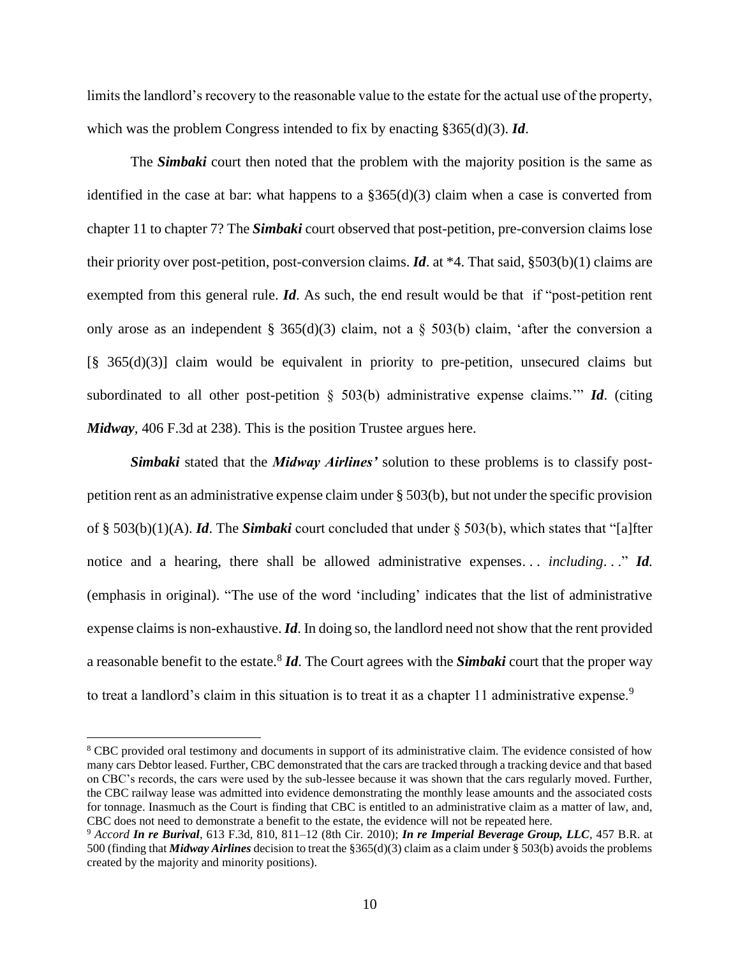limits the landlord's recovery to the reasonable value to the estate for the actual use of the property, which was the problem Congress intended to fix by enacting §365(d)(3). *Id*.

The *Simbaki* court then noted that the problem with the majority position is the same as identified in the case at bar: what happens to a  $\S365(d)(3)$  claim when a case is converted from chapter 11 to chapter 7? The *Simbaki* court observed that post-petition, pre-conversion claims lose their priority over post-petition, post-conversion claims. *Id*. at \*4. That said, §503(b)(1) claims are exempted from this general rule. *Id*. As such, the end result would be that if "post-petition rent only arose as an independent [§ 365\(d\)\(3\)](https://1.next.westlaw.com/Link/Document/FullText?findType=L&pubNum=1000611&cite=11USCAS365&originatingDoc=I6630bd70ddef11e4b979e0fcfaca07e5&refType=LQ&originationContext=document&transitionType=DocumentItem&contextData=(sc.Default)) claim, not a § 503(b) claim, 'after the conversion a [\[§ 365\(d\)\(3\)\]](https://1.next.westlaw.com/Link/Document/FullText?findType=L&pubNum=1000611&cite=11USCAS365&originatingDoc=I6630bd70ddef11e4b979e0fcfaca07e5&refType=LQ&originationContext=document&transitionType=DocumentItem&contextData=(sc.Default)) claim would be equivalent in priority to pre-petition, unsecured claims but subordinated to all other post-petition § 503(b) administrative expense claims.'" *Id*. (citing *Midway,* [406 F.3d at 238\)](https://1.next.westlaw.com/Link/Document/FullText?findType=Y&serNum=2006539776&pubNum=0000506&originatingDoc=I6630bd70ddef11e4b979e0fcfaca07e5&refType=RP&fi=co_pp_sp_506_238&originationContext=document&transitionType=DocumentItem&contextData=(sc.Default)#co_pp_sp_506_238). This is the position Trustee argues here.

*Simbaki* stated that the *Midway Airlines'* solution to these problems is to classify postpetition rent as an administrative expense claim under § 503(b), but not under the specific provision of § 503(b)(1)(A). *Id*. The *Simbaki* court concluded that under § 503(b), which states that "[a]fter notice and a hearing, there shall be allowed administrative expenses... *including...*" *Id.* (emphasis in original). "The use of the word 'including' indicates that the list of administrative expense claims is non-exhaustive. *Id*. In doing so, the landlord need not show that the rent provided a reasonable benefit to the estate.<sup>8</sup> *Id*. The Court agrees with the *Simbaki* court that the proper way to treat a landlord's claim in this situation is to treat it as a chapter 11 administrative expense.<sup>9</sup>

<sup>&</sup>lt;sup>8</sup> CBC provided oral testimony and documents in support of its administrative claim. The evidence consisted of how many cars Debtor leased. Further, CBC demonstrated that the cars are tracked through a tracking device and that based on CBC's records, the cars were used by the sub-lessee because it was shown that the cars regularly moved. Further, the CBC railway lease was admitted into evidence demonstrating the monthly lease amounts and the associated costs for tonnage. Inasmuch as the Court is finding that CBC is entitled to an administrative claim as a matter of law, and, CBC does not need to demonstrate a benefit to the estate, the evidence will not be repeated here.

<sup>9</sup> *Accord In re Burival*, 613 F.3d, 810, 811–12 (8th Cir. 2010); *In re Imperial Beverage Group, LLC*, 457 B.R. at 500 (finding that *Midway Airlines* decision to treat the §365(d)(3) claim as a claim under § 503(b) avoids the problems created by the majority and minority positions).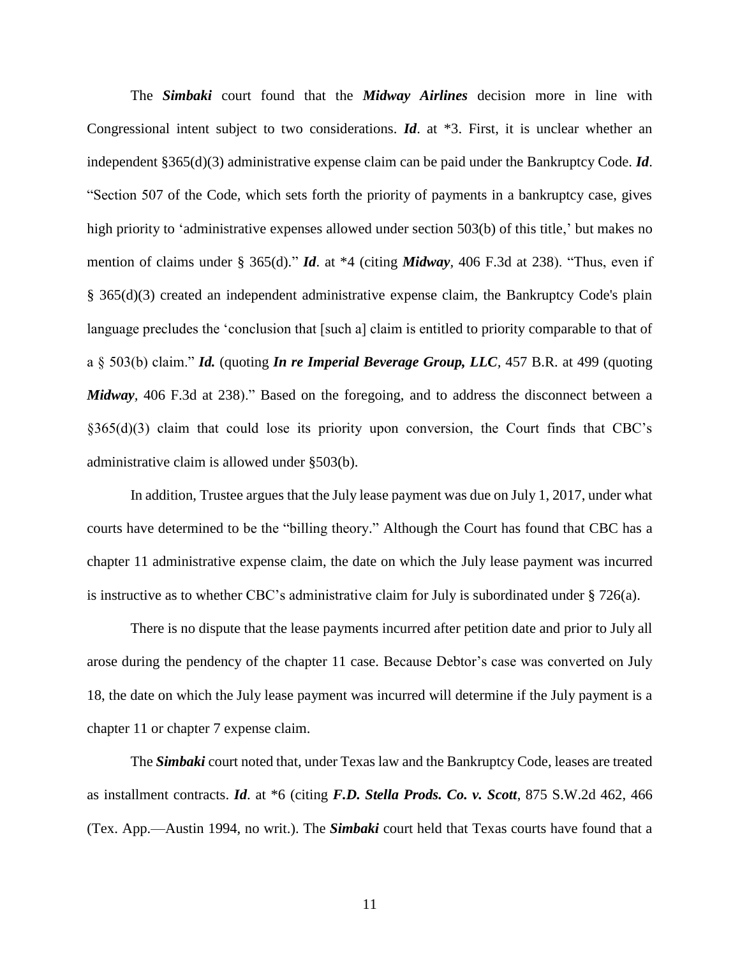The *Simbaki* court found that the *Midway Airlines* decision more in line with Congressional intent subject to two considerations. *Id*. at \*3. First, it is unclear whether an independent §365(d)(3) administrative expense claim can be paid under the Bankruptcy Code. *Id*. "Section 507 of the Code, which sets forth the priority of payments in a bankruptcy case, gives high priority to 'administrative expenses allowed under section 503(b) of this title,' but makes no mention of claims under [§ 365\(d\).](https://1.next.westlaw.com/Link/Document/FullText?findType=L&pubNum=1000611&cite=11USCAS365&originatingDoc=I6630bd70ddef11e4b979e0fcfaca07e5&refType=LQ&originationContext=document&transitionType=DocumentItem&contextData=(sc.Default))" *Id*. at \*4 (citing *Midway,* [406 F.3d at 238\)](https://1.next.westlaw.com/Link/Document/FullText?findType=Y&serNum=2006539776&pubNum=0000506&originatingDoc=I6630bd70ddef11e4b979e0fcfaca07e5&refType=RP&fi=co_pp_sp_506_238&originationContext=document&transitionType=DocumentItem&contextData=(sc.Default)#co_pp_sp_506_238). "Thus, even if [§ 365\(d\)\(3\)](https://1.next.westlaw.com/Link/Document/FullText?findType=L&pubNum=1000611&cite=11USCAS365&originatingDoc=I6630bd70ddef11e4b979e0fcfaca07e5&refType=LQ&originationContext=document&transitionType=DocumentItem&contextData=(sc.Default)) created an independent administrative expense claim, the Bankruptcy Code's plain language precludes the 'conclusion that [such a] claim is entitled to priority comparable to that of a § 503(b) claim." *Id.* (quoting *[In re Imperial Beverage Group, LLC](https://1.next.westlaw.com/Link/Document/FullText?findType=Y&serNum=2025802542&pubNum=0000164&originatingDoc=I6630bd70ddef11e4b979e0fcfaca07e5&refType=RP&fi=co_pp_sp_164_499&originationContext=document&transitionType=DocumentItem&contextData=(sc.Default)#co_pp_sp_164_499),* 457 B.R. at 499 (quoting *Midway,* [406 F.3d at 238\)](https://1.next.westlaw.com/Link/Document/FullText?findType=Y&serNum=2006539776&pubNum=0000506&originatingDoc=I6630bd70ddef11e4b979e0fcfaca07e5&refType=RP&fi=co_pp_sp_506_238&originationContext=document&transitionType=DocumentItem&contextData=(sc.Default)#co_pp_sp_506_238)." Based on the foregoing, and to address the disconnect between a §365(d)(3) claim that could lose its priority upon conversion, the Court finds that CBC's administrative claim is allowed under §503(b).

In addition, Trustee argues that the July lease payment was due on July 1, 2017, under what courts have determined to be the "billing theory." Although the Court has found that CBC has a chapter 11 administrative expense claim, the date on which the July lease payment was incurred is instructive as to whether CBC's administrative claim for July is subordinated under  $\S 726(a)$ .

There is no dispute that the lease payments incurred after petition date and prior to July all arose during the pendency of the chapter 11 case. Because Debtor's case was converted on July 18, the date on which the July lease payment was incurred will determine if the July payment is a chapter 11 or chapter 7 expense claim.

The *Simbaki* court noted that, under Texas law and the Bankruptcy Code, leases are treated as installment contracts. *Id*. at \*6 (citing *F.D. Stella Prods. Co. v. Scott*, 875 S.W.2d 462, 466 (Tex. App.—Austin 1994, no writ.). The *Simbaki* court held that Texas courts have found that a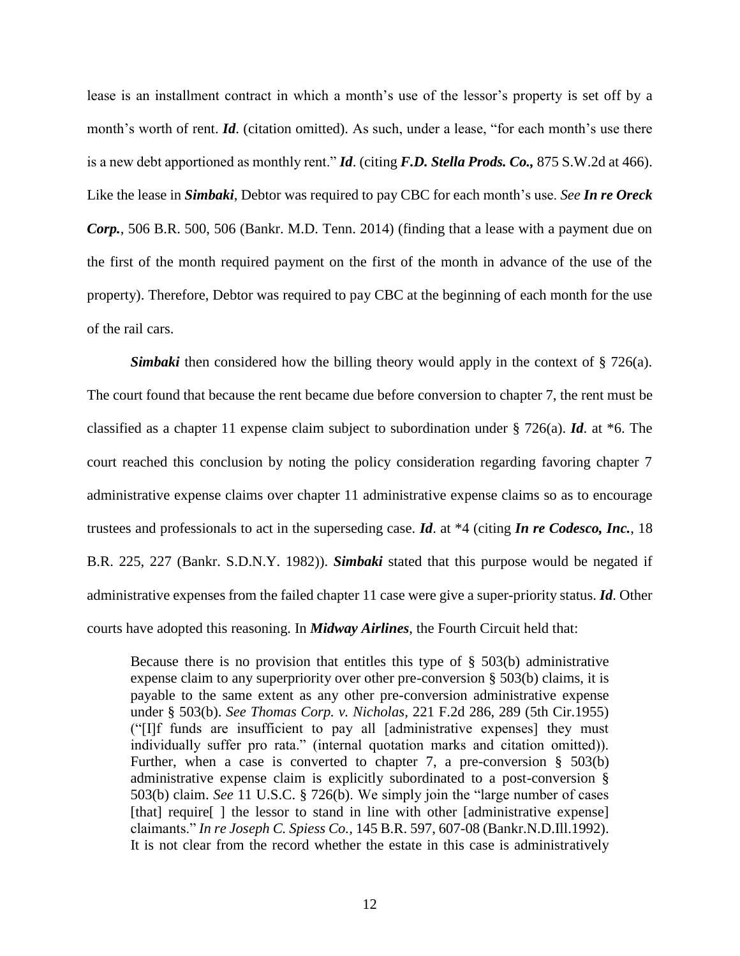lease is an installment contract in which a month's use of the lessor's property is set off by a month's worth of rent. *Id*. (citation omitted). As such, under a lease, "for each month's use there is a new debt apportioned as monthly rent." *Id*. (citing *F.D. Stella Prods. Co.,* 875 S.W.2d at 466). Like the lease in *Simbaki*, Debtor was required to pay CBC for each month's use. *See In re Oreck Corp.*, 506 B.R. 500, 506 (Bankr. M.D. Tenn. 2014) (finding that a lease with a payment due on the first of the month required payment on the first of the month in advance of the use of the property). Therefore, Debtor was required to pay CBC at the beginning of each month for the use of the rail cars.

*Simbaki* then considered how the billing theory would apply in the context of § 726(a). The court found that because the rent became due before conversion to chapter 7, the rent must be classified as a chapter 11 expense claim subject to subordination under § 726(a). *Id*. at \*6. The court reached this conclusion by noting the policy consideration regarding favoring chapter 7 administrative expense claims over chapter 11 administrative expense claims so as to encourage trustees and professionals to act in the superseding case. *Id*. at \*4 (citing *In re Codesco, Inc.*, 18 B.R. 225, 227 (Bankr. S.D.N.Y. 1982)). *Simbaki* stated that this purpose would be negated if administrative expenses from the failed chapter 11 case were give a super-priority status. *Id*. Other courts have adopted this reasoning. In *Midway Airlines*, the Fourth Circuit held that:

Because there is no provision that entitles this type of  $\S$  503(b) administrative expense claim to any superpriority over other pre-conversion [§ 503\(b\)](https://1.next.westlaw.com/Link/Document/FullText?findType=L&pubNum=1000546&cite=11USCAS503&originatingDoc=Icc61c5c0bb1411d991d0cc6b54f12d4d&refType=RB&originationContext=document&transitionType=DocumentItem&contextData=(sc.UserEnteredCitation)#co_pp_a83b000018c76) claims, it is payable to the same extent as any other pre-conversion administrative expense under [§ 503\(b\).](https://1.next.westlaw.com/Link/Document/FullText?findType=L&pubNum=1000546&cite=11USCAS503&originatingDoc=Icc61c5c0bb1411d991d0cc6b54f12d4d&refType=RB&originationContext=document&transitionType=DocumentItem&contextData=(sc.UserEnteredCitation)#co_pp_a83b000018c76) *See Thomas Corp. v. Nicholas,* [221 F.2d 286, 289 \(5th Cir.1955\)](https://1.next.westlaw.com/Link/Document/FullText?findType=Y&serNum=1955120970&pubNum=350&originatingDoc=Icc61c5c0bb1411d991d0cc6b54f12d4d&refType=RP&fi=co_pp_sp_350_289&originationContext=document&transitionType=DocumentItem&contextData=(sc.UserEnteredCitation)#co_pp_sp_350_289) ("[I]f funds are insufficient to pay all [administrative expenses] they must individually suffer pro rata." (internal quotation marks and citation omitted)). Further, when a case is converted to chapter 7, a pre-conversion [§ 503\(b\)](https://1.next.westlaw.com/Link/Document/FullText?findType=L&pubNum=1000546&cite=11USCAS503&originatingDoc=Icc61c5c0bb1411d991d0cc6b54f12d4d&refType=RB&originationContext=document&transitionType=DocumentItem&contextData=(sc.UserEnteredCitation)#co_pp_a83b000018c76) administrative expense claim is explicitly subordinated to a post-conversion [§](https://1.next.westlaw.com/Link/Document/FullText?findType=L&pubNum=1000546&cite=11USCAS503&originatingDoc=Icc61c5c0bb1411d991d0cc6b54f12d4d&refType=RB&originationContext=document&transitionType=DocumentItem&contextData=(sc.UserEnteredCitation)#co_pp_a83b000018c76)  [503\(b\)](https://1.next.westlaw.com/Link/Document/FullText?findType=L&pubNum=1000546&cite=11USCAS503&originatingDoc=Icc61c5c0bb1411d991d0cc6b54f12d4d&refType=RB&originationContext=document&transitionType=DocumentItem&contextData=(sc.UserEnteredCitation)#co_pp_a83b000018c76) claim. *See* [11 U.S.C. § 726\(b\).](https://1.next.westlaw.com/Link/Document/FullText?findType=L&pubNum=1000546&cite=11USCAS726&originatingDoc=Icc61c5c0bb1411d991d0cc6b54f12d4d&refType=RB&originationContext=document&transitionType=DocumentItem&contextData=(sc.UserEnteredCitation)#co_pp_a83b000018c76) We simply join the "large number of cases [that] require ] the lessor to stand in line with other [administrative expense] claimants." *In re Joseph C. Spiess Co.,* [145 B.R. 597, 607-08 \(Bankr.N.D.Ill.1992\).](https://1.next.westlaw.com/Link/Document/FullText?findType=Y&serNum=1992171166&pubNum=164&originatingDoc=Icc61c5c0bb1411d991d0cc6b54f12d4d&refType=RP&fi=co_pp_sp_164_607&originationContext=document&transitionType=DocumentItem&contextData=(sc.UserEnteredCitation)#co_pp_sp_164_607) It is not clear from the record whether the estate in this case is administratively